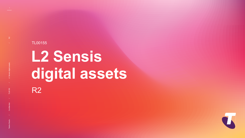# R2 **L2 Sensis digital assets**

TL00155



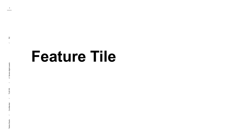# **Feature Tile**

 $\approx$ 

Telstra Studio Confidential / / / / R2 L1 Sensis digital assets TL00155

TL00155

**Confidential** 

Telstra Studio

L1 Sensis digital assets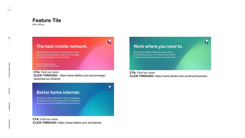## **Feature Tile**



640 x 260 px

### The best mobile network.

Get the most out of your mobile phone with the network that gives you greater coverage and faster speeds in more places.

Based on national average combined 3G/4G mobile speeds.

R2

**CTA:** *Find our more* **CLICK THROUGH:** https://www.telstra.com.au/coveragenetworks/our-network

 $\overline{\mathbf{C}}$ 

 $\boldsymbol{\mathcal{T}}$ 

### Better home internet.

The Telstra Smart Modem™ Gen 2 combines our home and mobile networks in one device to give you a more reliable home connection.

**CTA:** *Find our more* **CLICK THROUGH:** https://www.telstra.com.au/small-business

**CTA:** *Find our more* **CLICK THROUGH:** https://www.telstra.com.au/internet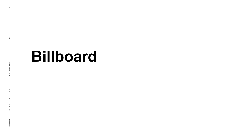# **Billboard**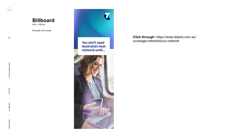

530 x 1590 px

*Example not to scale*



 $R<sup>2</sup>$ 

**Click through:** https://www.telstra.com.au/ coverage-networks/our-network

 $\mathbf T$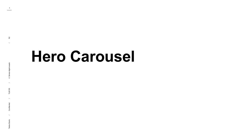$\approx$ 

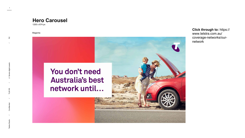

1200 x 674 px

#### Magenta

# You don't need **Australia's best** network until...

R2

**Click through to:** https:// www.telstra.com.au/ coverage-networks/ournetwork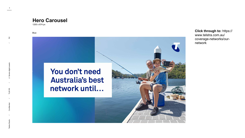

1200 x 674 px

#### Blue



R2

#### **Click through to:** https://

www.telstra.com.au/ coverage-networks/ournetwork

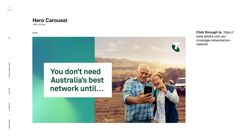1200 x 674 px

#### Green



R2



**Click through to:** https:// www.telstra.com.au/ coverage-networks/ournetwork